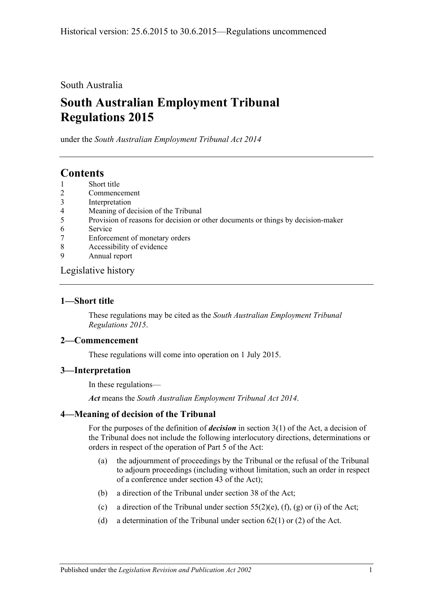## South Australia

# **South Australian Employment Tribunal Regulations 2015**

under the *South Australian Employment Tribunal Act 2014*

# **Contents**

- 1 [Short title](#page-0-0)
- 2 [Commencement](#page-0-1)
- 3 [Interpretation](#page-0-2)
- 4 [Meaning of decision of the Tribunal](#page-0-3)
- 5 [Provision of reasons for decision or other documents or things by decision-maker](#page-1-0)
- 6 [Service](#page-1-1)
- 7 [Enforcement of monetary orders](#page-1-2)
- 8 [Accessibility of evidence](#page-1-3)
- 9 [Annual report](#page-2-0)

#### [Legislative history](#page-4-0)

## <span id="page-0-0"></span>**1—Short title**

These regulations may be cited as the *South Australian Employment Tribunal Regulations 2015*.

#### <span id="page-0-1"></span>**2—Commencement**

These regulations will come into operation on 1 July 2015.

#### <span id="page-0-2"></span>**3—Interpretation**

In these regulations—

*Act* means the *[South Australian Employment Tribunal Act](http://www.legislation.sa.gov.au/index.aspx?action=legref&type=act&legtitle=South%20Australian%20Employment%20Tribunal%20Act%202014) 2014*.

## <span id="page-0-3"></span>**4—Meaning of decision of the Tribunal**

For the purposes of the definition of *decision* in section 3(1) of the Act, a decision of the Tribunal does not include the following interlocutory directions, determinations or orders in respect of the operation of Part 5 of the Act:

- (a) the adjournment of proceedings by the Tribunal or the refusal of the Tribunal to adjourn proceedings (including without limitation, such an order in respect of a conference under section 43 of the Act);
- (b) a direction of the Tribunal under section 38 of the Act;
- (c) a direction of the Tribunal under section  $55(2)(e)$ , (f), (g) or (i) of the Act;
- (d) a determination of the Tribunal under section  $62(1)$  or (2) of the Act.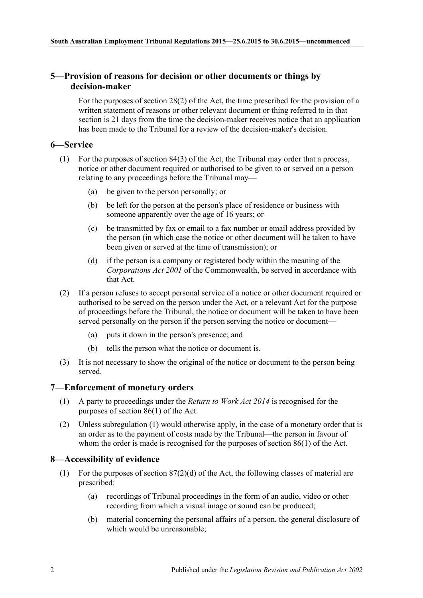#### <span id="page-1-0"></span>**5—Provision of reasons for decision or other documents or things by decision-maker**

For the purposes of section 28(2) of the Act, the time prescribed for the provision of a written statement of reasons or other relevant document or thing referred to in that section is 21 days from the time the decision-maker receives notice that an application has been made to the Tribunal for a review of the decision-maker's decision.

#### <span id="page-1-1"></span>**6—Service**

- (1) For the purposes of section 84(3) of the Act, the Tribunal may order that a process, notice or other document required or authorised to be given to or served on a person relating to any proceedings before the Tribunal may—
	- (a) be given to the person personally; or
	- (b) be left for the person at the person's place of residence or business with someone apparently over the age of 16 years; or
	- (c) be transmitted by fax or email to a fax number or email address provided by the person (in which case the notice or other document will be taken to have been given or served at the time of transmission); or
	- (d) if the person is a company or registered body within the meaning of the *Corporations Act 2001* of the Commonwealth, be served in accordance with that Act.
- (2) If a person refuses to accept personal service of a notice or other document required or authorised to be served on the person under the Act, or a relevant Act for the purpose of proceedings before the Tribunal, the notice or document will be taken to have been served personally on the person if the person serving the notice or document—
	- (a) puts it down in the person's presence; and
	- (b) tells the person what the notice or document is.
- (3) It is not necessary to show the original of the notice or document to the person being served.

#### <span id="page-1-4"></span><span id="page-1-2"></span>**7—Enforcement of monetary orders**

- (1) A party to proceedings under the *[Return to Work Act](http://www.legislation.sa.gov.au/index.aspx?action=legref&type=act&legtitle=Return%20to%20Work%20Act%202014) 2014* is recognised for the purposes of section 86(1) of the Act.
- (2) Unless [subregulation](#page-1-4) (1) would otherwise apply, in the case of a monetary order that is an order as to the payment of costs made by the Tribunal—the person in favour of whom the order is made is recognised for the purposes of section 86(1) of the Act.

## <span id="page-1-3"></span>**8—Accessibility of evidence**

- (1) For the purposes of section 87(2)(d) of the Act, the following classes of material are prescribed:
	- (a) recordings of Tribunal proceedings in the form of an audio, video or other recording from which a visual image or sound can be produced;
	- (b) material concerning the personal affairs of a person, the general disclosure of which would be unreasonable;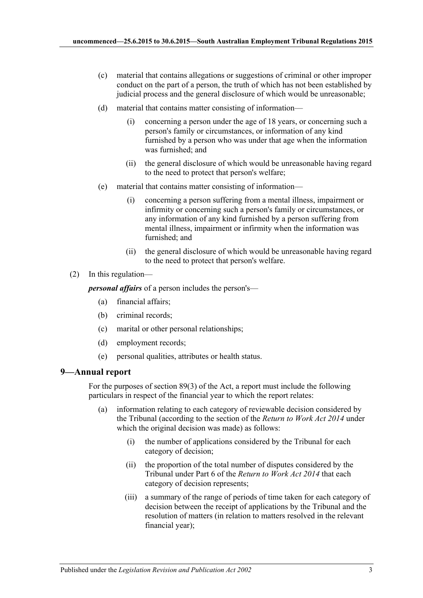- (c) material that contains allegations or suggestions of criminal or other improper conduct on the part of a person, the truth of which has not been established by judicial process and the general disclosure of which would be unreasonable;
- (d) material that contains matter consisting of information—
	- (i) concerning a person under the age of 18 years, or concerning such a person's family or circumstances, or information of any kind furnished by a person who was under that age when the information was furnished; and
	- (ii) the general disclosure of which would be unreasonable having regard to the need to protect that person's welfare;
- (e) material that contains matter consisting of information—
	- (i) concerning a person suffering from a mental illness, impairment or infirmity or concerning such a person's family or circumstances, or any information of any kind furnished by a person suffering from mental illness, impairment or infirmity when the information was furnished; and
	- (ii) the general disclosure of which would be unreasonable having regard to the need to protect that person's welfare.
- (2) In this regulation—

*personal affairs* of a person includes the person's—

- (a) financial affairs;
- (b) criminal records;
- (c) marital or other personal relationships;
- (d) employment records;
- (e) personal qualities, attributes or health status.

#### <span id="page-2-0"></span>**9—Annual report**

For the purposes of section 89(3) of the Act, a report must include the following particulars in respect of the financial year to which the report relates:

- (a) information relating to each category of reviewable decision considered by the Tribunal (according to the section of the *[Return to Work Act](http://www.legislation.sa.gov.au/index.aspx?action=legref&type=act&legtitle=Return%20to%20Work%20Act%202014) 2014* under which the original decision was made) as follows:
	- (i) the number of applications considered by the Tribunal for each category of decision;
	- (ii) the proportion of the total number of disputes considered by the Tribunal under Part 6 of the *[Return to Work Act](http://www.legislation.sa.gov.au/index.aspx?action=legref&type=act&legtitle=Return%20to%20Work%20Act%202014) 2014* that each category of decision represents;
	- (iii) a summary of the range of periods of time taken for each category of decision between the receipt of applications by the Tribunal and the resolution of matters (in relation to matters resolved in the relevant financial year);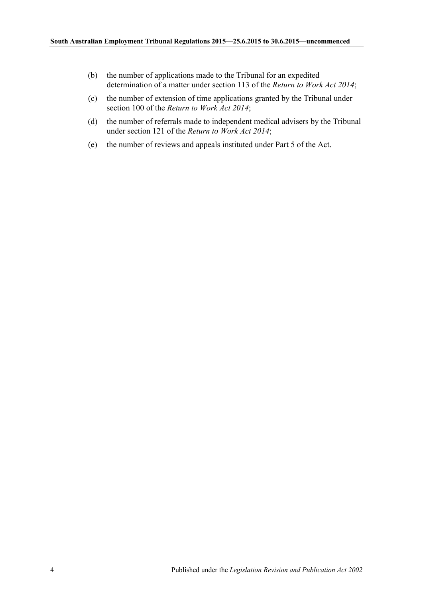- (b) the number of applications made to the Tribunal for an expedited determination of a matter under section 113 of the *[Return to Work Act](http://www.legislation.sa.gov.au/index.aspx?action=legref&type=act&legtitle=Return%20to%20Work%20Act%202014) 2014*;
- (c) the number of extension of time applications granted by the Tribunal under section 100 of the *[Return to Work Act](http://www.legislation.sa.gov.au/index.aspx?action=legref&type=act&legtitle=Return%20to%20Work%20Act%202014) 2014*;
- (d) the number of referrals made to independent medical advisers by the Tribunal under section 121 of the *[Return to Work Act](http://www.legislation.sa.gov.au/index.aspx?action=legref&type=act&legtitle=Return%20to%20Work%20Act%202014) 2014*;
- (e) the number of reviews and appeals instituted under Part 5 of the Act.